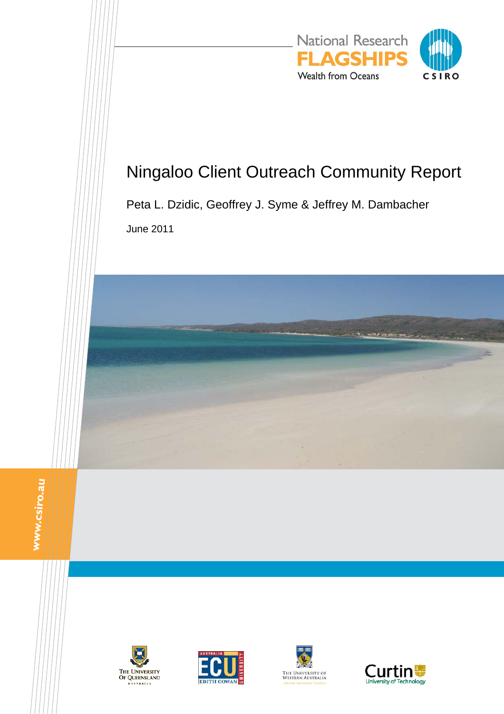

# Ningaloo Client Outreach Community Report

Peta L. Dzidic, Geoffrey J. Syme & Jeffrey M. Dambacher June 2011

www.csiro.au







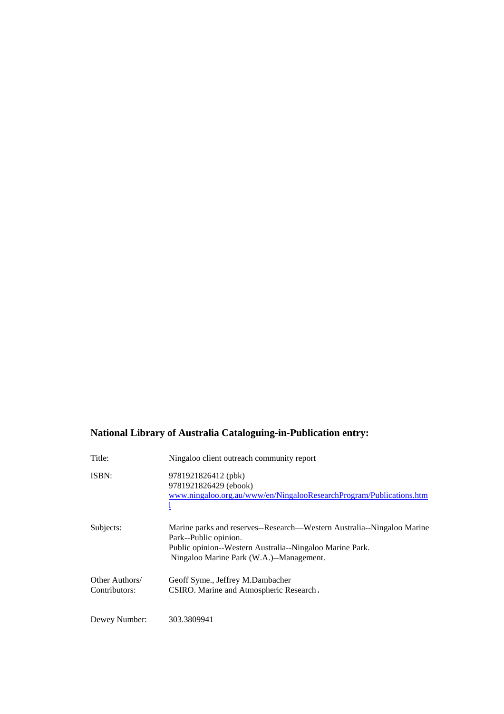### **National Library of Australia Cataloguing-in-Publication entry:**

| Title:                          | Ningaloo client outreach community report                                                                                                                                                               |
|---------------------------------|---------------------------------------------------------------------------------------------------------------------------------------------------------------------------------------------------------|
| ISBN:                           | 9781921826412 (pbk)<br>9781921826429 (ebook)<br>www.ningaloo.org.au/www/en/NingalooResearchProgram/Publications.htm                                                                                     |
| Subjects:                       | Marine parks and reserves--Research—Western Australia--Ningaloo Marine<br>Park--Public opinion.<br>Public opinion--Western Australia--Ningaloo Marine Park.<br>Ningaloo Marine Park (W.A.)--Management. |
| Other Authors/<br>Contributors: | Geoff Syme., Jeffrey M.Dambacher<br>CSIRO. Marine and Atmospheric Research.                                                                                                                             |
| Dewey Number:                   | 303.3809941                                                                                                                                                                                             |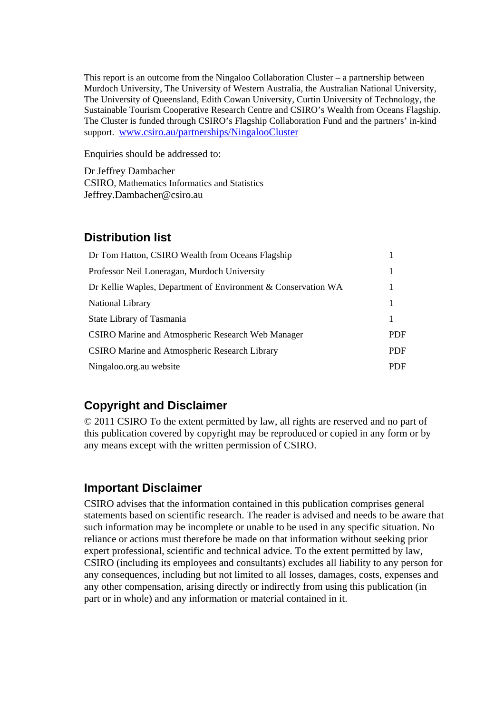This report is an outcome from the Ningaloo Collaboration Cluster – a partnership between Murdoch University, The University of Western Australia, the Australian National University, The University of Queensland, Edith Cowan University, Curtin University of Technology, the Sustainable Tourism Cooperative Research Centre and CSIRO's Wealth from Oceans Flagship. The Cluster is funded through CSIRO's Flagship Collaboration Fund and the partners' in-kind support. www.csiro.au/partnerships/NingalooCluster

Enquiries should be addressed to:

Dr Jeffrey Dambacher CSIRO, Mathematics Informatics and Statistics Jeffrey.Dambacher@csiro.au

### **Distribution list**

| Dr Tom Hatton, CSIRO Wealth from Oceans Flagship              |            |  |
|---------------------------------------------------------------|------------|--|
| Professor Neil Loneragan, Murdoch University                  |            |  |
| Dr Kellie Waples, Department of Environment & Conservation WA | 1          |  |
| <b>National Library</b>                                       | 1          |  |
| State Library of Tasmania                                     | 1          |  |
| CSIRO Marine and Atmospheric Research Web Manager             |            |  |
| <b>CSIRO Marine and Atmospheric Research Library</b>          | <b>PDF</b> |  |
| Ningaloo.org.au website                                       |            |  |

# **Copyright and Disclaimer**

© 2011 CSIRO To the extent permitted by law, all rights are reserved and no part of this publication covered by copyright may be reproduced or copied in any form or by any means except with the written permission of CSIRO.

### **Important Disclaimer**

CSIRO advises that the information contained in this publication comprises general statements based on scientific research. The reader is advised and needs to be aware that such information may be incomplete or unable to be used in any specific situation. No reliance or actions must therefore be made on that information without seeking prior expert professional, scientific and technical advice. To the extent permitted by law, CSIRO (including its employees and consultants) excludes all liability to any person for any consequences, including but not limited to all losses, damages, costs, expenses and any other compensation, arising directly or indirectly from using this publication (in part or in whole) and any information or material contained in it.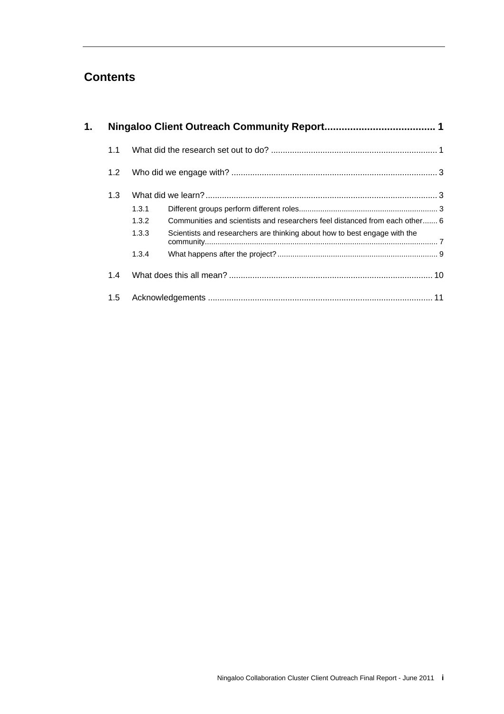# **Contents**

| 1. |     |       |                                                                             |  |  |
|----|-----|-------|-----------------------------------------------------------------------------|--|--|
|    | 1.1 |       |                                                                             |  |  |
|    | 1.2 |       |                                                                             |  |  |
|    | 1.3 |       |                                                                             |  |  |
|    |     | 1,3.1 |                                                                             |  |  |
|    |     | 1.3.2 | Communities and scientists and researchers feel distanced from each other 6 |  |  |
|    |     | 1.3.3 | Scientists and researchers are thinking about how to best engage with the   |  |  |
|    |     | 1.3.4 |                                                                             |  |  |
|    | 1.4 |       |                                                                             |  |  |
|    | 1.5 |       |                                                                             |  |  |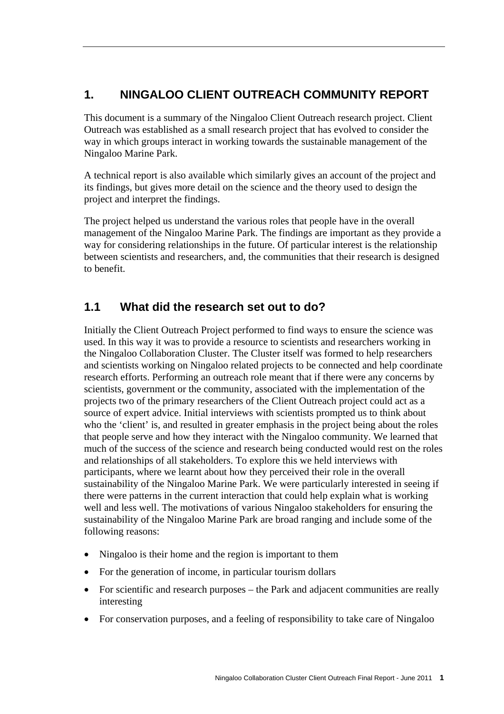# **1. NINGALOO CLIENT OUTREACH COMMUNITY REPORT**

This document is a summary of the Ningaloo Client Outreach research project. Client Outreach was established as a small research project that has evolved to consider the way in which groups interact in working towards the sustainable management of the Ningaloo Marine Park.

A technical report is also available which similarly gives an account of the project and its findings, but gives more detail on the science and the theory used to design the project and interpret the findings.

The project helped us understand the various roles that people have in the overall management of the Ningaloo Marine Park. The findings are important as they provide a way for considering relationships in the future. Of particular interest is the relationship between scientists and researchers, and, the communities that their research is designed to benefit.

### **1.1 What did the research set out to do?**

Initially the Client Outreach Project performed to find ways to ensure the science was used. In this way it was to provide a resource to scientists and researchers working in the Ningaloo Collaboration Cluster. The Cluster itself was formed to help researchers and scientists working on Ningaloo related projects to be connected and help coordinate research efforts. Performing an outreach role meant that if there were any concerns by scientists, government or the community, associated with the implementation of the projects two of the primary researchers of the Client Outreach project could act as a source of expert advice. Initial interviews with scientists prompted us to think about who the 'client' is, and resulted in greater emphasis in the project being about the roles that people serve and how they interact with the Ningaloo community. We learned that much of the success of the science and research being conducted would rest on the roles and relationships of all stakeholders. To explore this we held interviews with participants, where we learnt about how they perceived their role in the overall sustainability of the Ningaloo Marine Park. We were particularly interested in seeing if there were patterns in the current interaction that could help explain what is working well and less well. The motivations of various Ningaloo stakeholders for ensuring the sustainability of the Ningaloo Marine Park are broad ranging and include some of the following reasons:

- Ningaloo is their home and the region is important to them
- For the generation of income, in particular tourism dollars
- For scientific and research purposes the Park and adjacent communities are really interesting
- For conservation purposes, and a feeling of responsibility to take care of Ningaloo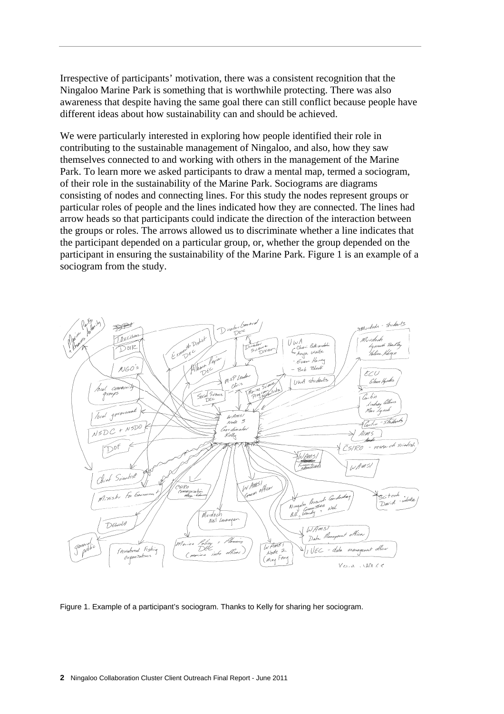Irrespective of participants' motivation, there was a consistent recognition that the Ningaloo Marine Park is something that is worthwhile protecting. There was also awareness that despite having the same goal there can still conflict because people have different ideas about how sustainability can and should be achieved.

We were particularly interested in exploring how people identified their role in contributing to the sustainable management of Ningaloo, and also, how they saw themselves connected to and working with others in the management of the Marine Park. To learn more we asked participants to draw a mental map, termed a sociogram, of their role in the sustainability of the Marine Park. Sociograms are diagrams consisting of nodes and connecting lines. For this study the nodes represent groups or particular roles of people and the lines indicated how they are connected. The lines had arrow heads so that participants could indicate the direction of the interaction between the groups or roles. The arrows allowed us to discriminate whether a line indicates that the participant depended on a particular group, or, whether the group depended on the participant in ensuring the sustainability of the Marine Park. Figure 1 is an example of a sociogram from the study.



Figure 1. Example of a participant's sociogram. Thanks to Kelly for sharing her sociogram.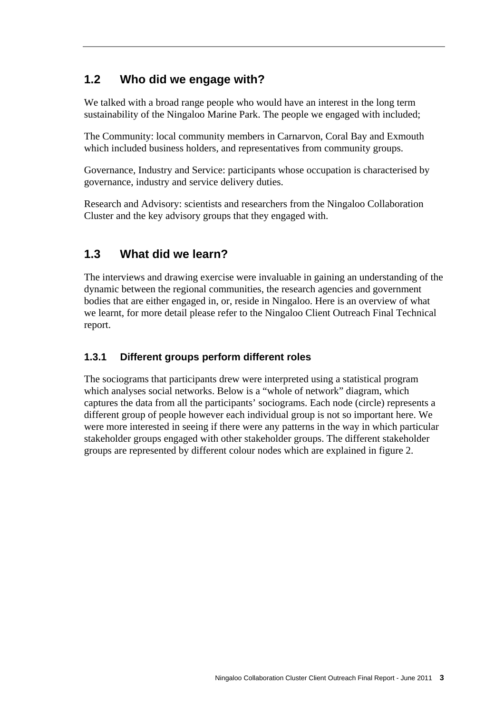# **1.2 Who did we engage with?**

We talked with a broad range people who would have an interest in the long term sustainability of the Ningaloo Marine Park. The people we engaged with included;

The Community: local community members in Carnarvon, Coral Bay and Exmouth which included business holders, and representatives from community groups.

Governance, Industry and Service: participants whose occupation is characterised by governance, industry and service delivery duties.

Research and Advisory: scientists and researchers from the Ningaloo Collaboration Cluster and the key advisory groups that they engaged with.

# **1.3 What did we learn?**

The interviews and drawing exercise were invaluable in gaining an understanding of the dynamic between the regional communities, the research agencies and government bodies that are either engaged in, or, reside in Ningaloo. Here is an overview of what we learnt, for more detail please refer to the Ningaloo Client Outreach Final Technical report.

### **1.3.1 Different groups perform different roles**

The sociograms that participants drew were interpreted using a statistical program which analyses social networks. Below is a "whole of network" diagram, which captures the data from all the participants' sociograms. Each node (circle) represents a different group of people however each individual group is not so important here. We were more interested in seeing if there were any patterns in the way in which particular stakeholder groups engaged with other stakeholder groups. The different stakeholder groups are represented by different colour nodes which are explained in figure 2.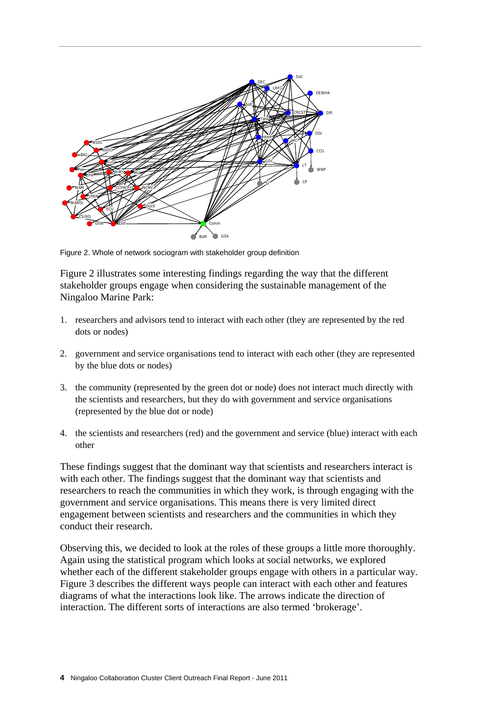

Figure 2. Whole of network sociogram with stakeholder group definition

Figure 2 illustrates some interesting findings regarding the way that the different stakeholder groups engage when considering the sustainable management of the Ningaloo Marine Park:

- 1. researchers and advisors tend to interact with each other (they are represented by the red dots or nodes)
- 2. government and service organisations tend to interact with each other (they are represented by the blue dots or nodes)
- 3. the community (represented by the green dot or node) does not interact much directly with the scientists and researchers, but they do with government and service organisations (represented by the blue dot or node)
- 4. the scientists and researchers (red) and the government and service (blue) interact with each other

These findings suggest that the dominant way that scientists and researchers interact is with each other. The findings suggest that the dominant way that scientists and researchers to reach the communities in which they work, is through engaging with the government and service organisations. This means there is very limited direct engagement between scientists and researchers and the communities in which they conduct their research.

Observing this, we decided to look at the roles of these groups a little more thoroughly. Again using the statistical program which looks at social networks, we explored whether each of the different stakeholder groups engage with others in a particular way. Figure 3 describes the different ways people can interact with each other and features diagrams of what the interactions look like. The arrows indicate the direction of interaction. The different sorts of interactions are also termed 'brokerage'.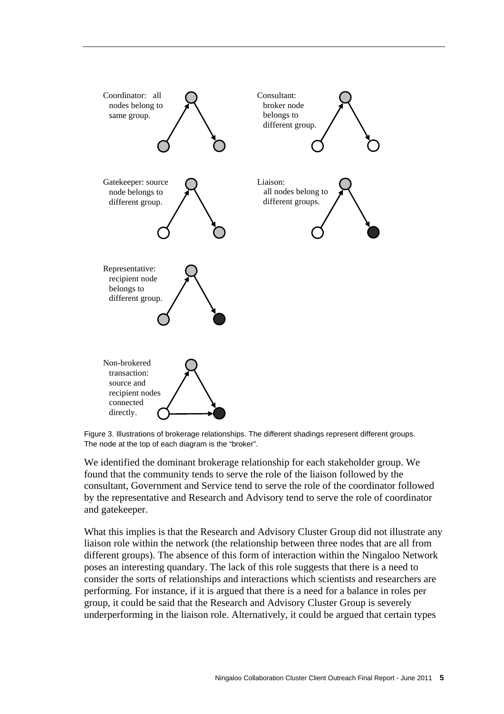

Figure 3. Illustrations of brokerage relationships. The different shadings represent different groups. The node at the top of each diagram is the "broker".

We identified the dominant brokerage relationship for each stakeholder group. We found that the community tends to serve the role of the liaison followed by the consultant, Government and Service tend to serve the role of the coordinator followed by the representative and Research and Advisory tend to serve the role of coordinator and gatekeeper.

What this implies is that the Research and Advisory Cluster Group did not illustrate any liaison role within the network (the relationship between three nodes that are all from different groups). The absence of this form of interaction within the Ningaloo Network poses an interesting quandary. The lack of this role suggests that there is a need to consider the sorts of relationships and interactions which scientists and researchers are performing. For instance, if it is argued that there is a need for a balance in roles per group, it could be said that the Research and Advisory Cluster Group is severely underperforming in the liaison role. Alternatively, it could be argued that certain types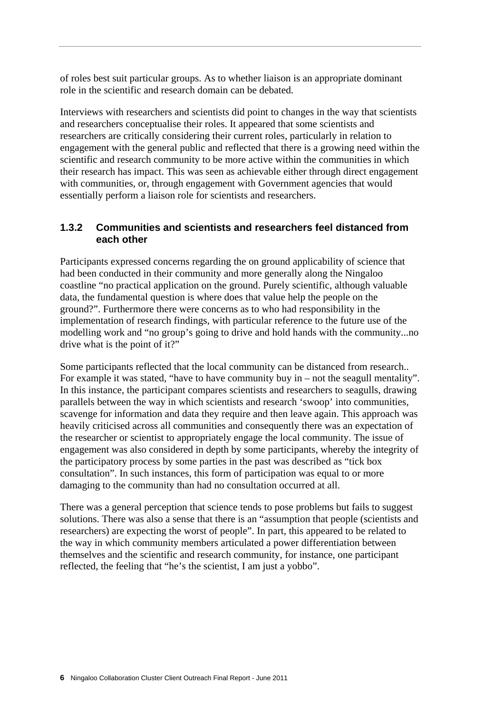of roles best suit particular groups. As to whether liaison is an appropriate dominant role in the scientific and research domain can be debated.

Interviews with researchers and scientists did point to changes in the way that scientists and researchers conceptualise their roles. It appeared that some scientists and researchers are critically considering their current roles, particularly in relation to engagement with the general public and reflected that there is a growing need within the scientific and research community to be more active within the communities in which their research has impact. This was seen as achievable either through direct engagement with communities, or, through engagement with Government agencies that would essentially perform a liaison role for scientists and researchers.

### **1.3.2 Communities and scientists and researchers feel distanced from each other**

Participants expressed concerns regarding the on ground applicability of science that had been conducted in their community and more generally along the Ningaloo coastline "no practical application on the ground. Purely scientific, although valuable data, the fundamental question is where does that value help the people on the ground?". Furthermore there were concerns as to who had responsibility in the implementation of research findings, with particular reference to the future use of the modelling work and "no group's going to drive and hold hands with the community...no drive what is the point of it?"

Some participants reflected that the local community can be distanced from research.. For example it was stated, "have to have community buy in – not the seagull mentality". In this instance, the participant compares scientists and researchers to seagulls, drawing parallels between the way in which scientists and research 'swoop' into communities, scavenge for information and data they require and then leave again. This approach was heavily criticised across all communities and consequently there was an expectation of the researcher or scientist to appropriately engage the local community. The issue of engagement was also considered in depth by some participants, whereby the integrity of the participatory process by some parties in the past was described as "tick box consultation". In such instances, this form of participation was equal to or more damaging to the community than had no consultation occurred at all.

There was a general perception that science tends to pose problems but fails to suggest solutions. There was also a sense that there is an "assumption that people (scientists and researchers) are expecting the worst of people". In part, this appeared to be related to the way in which community members articulated a power differentiation between themselves and the scientific and research community, for instance, one participant reflected, the feeling that "he's the scientist, I am just a yobbo".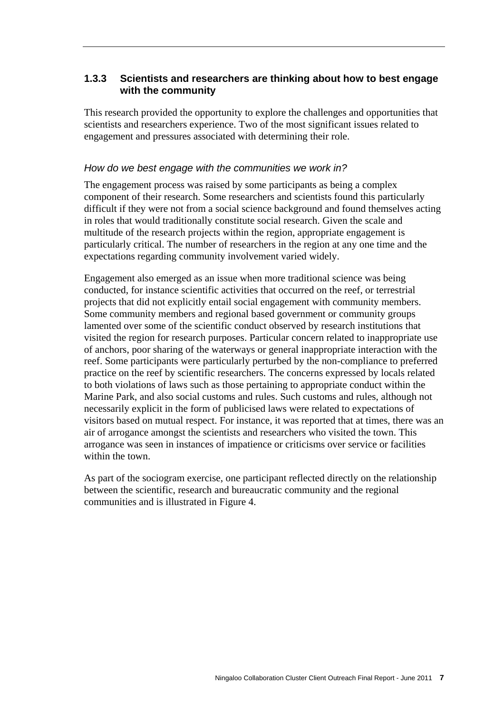### **1.3.3 Scientists and researchers are thinking about how to best engage with the community**

This research provided the opportunity to explore the challenges and opportunities that scientists and researchers experience. Two of the most significant issues related to engagement and pressures associated with determining their role.

#### *How do we best engage with the communities we work in?*

The engagement process was raised by some participants as being a complex component of their research. Some researchers and scientists found this particularly difficult if they were not from a social science background and found themselves acting in roles that would traditionally constitute social research. Given the scale and multitude of the research projects within the region, appropriate engagement is particularly critical. The number of researchers in the region at any one time and the expectations regarding community involvement varied widely.

Engagement also emerged as an issue when more traditional science was being conducted, for instance scientific activities that occurred on the reef, or terrestrial projects that did not explicitly entail social engagement with community members. Some community members and regional based government or community groups lamented over some of the scientific conduct observed by research institutions that visited the region for research purposes. Particular concern related to inappropriate use of anchors, poor sharing of the waterways or general inappropriate interaction with the reef. Some participants were particularly perturbed by the non-compliance to preferred practice on the reef by scientific researchers. The concerns expressed by locals related to both violations of laws such as those pertaining to appropriate conduct within the Marine Park, and also social customs and rules. Such customs and rules, although not necessarily explicit in the form of publicised laws were related to expectations of visitors based on mutual respect. For instance, it was reported that at times, there was an air of arrogance amongst the scientists and researchers who visited the town. This arrogance was seen in instances of impatience or criticisms over service or facilities within the town.

As part of the sociogram exercise, one participant reflected directly on the relationship between the scientific, research and bureaucratic community and the regional communities and is illustrated in Figure 4.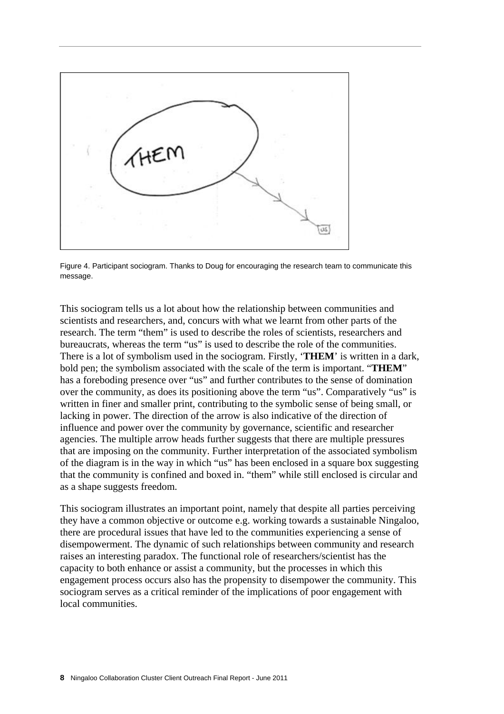

Figure 4. Participant sociogram. Thanks to Doug for encouraging the research team to communicate this message.

This sociogram tells us a lot about how the relationship between communities and scientists and researchers, and, concurs with what we learnt from other parts of the research. The term "them" is used to describe the roles of scientists, researchers and bureaucrats, whereas the term "us" is used to describe the role of the communities. There is a lot of symbolism used in the sociogram. Firstly, '**THEM**' is written in a dark, bold pen; the symbolism associated with the scale of the term is important. "**THEM**" has a foreboding presence over "us" and further contributes to the sense of domination over the community, as does its positioning above the term "us". Comparatively "us" is written in finer and smaller print, contributing to the symbolic sense of being small, or lacking in power. The direction of the arrow is also indicative of the direction of influence and power over the community by governance, scientific and researcher agencies. The multiple arrow heads further suggests that there are multiple pressures that are imposing on the community. Further interpretation of the associated symbolism of the diagram is in the way in which "us" has been enclosed in a square box suggesting that the community is confined and boxed in. "them" while still enclosed is circular and as a shape suggests freedom.

This sociogram illustrates an important point, namely that despite all parties perceiving they have a common objective or outcome e.g. working towards a sustainable Ningaloo, there are procedural issues that have led to the communities experiencing a sense of disempowerment. The dynamic of such relationships between community and research raises an interesting paradox. The functional role of researchers/scientist has the capacity to both enhance or assist a community, but the processes in which this engagement process occurs also has the propensity to disempower the community. This sociogram serves as a critical reminder of the implications of poor engagement with local communities.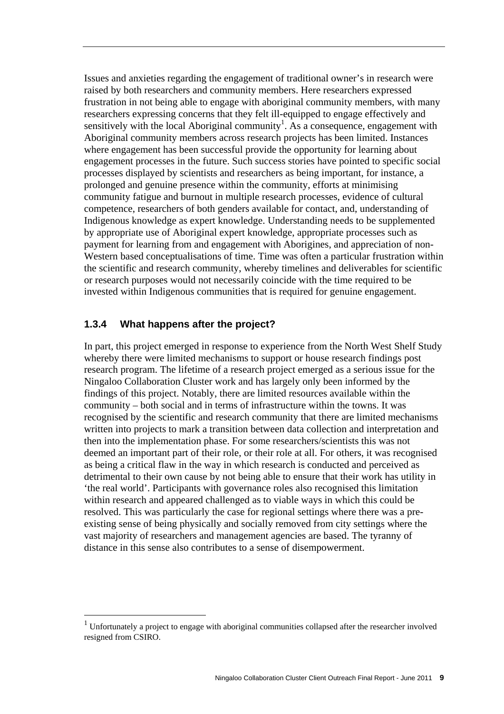Issues and anxieties regarding the engagement of traditional owner's in research were raised by both researchers and community members. Here researchers expressed frustration in not being able to engage with aboriginal community members, with many researchers expressing concerns that they felt ill-equipped to engage effectively and sensitively with the local Aboriginal community<sup>1</sup>. As a consequence, engagement with Aboriginal community members across research projects has been limited. Instances where engagement has been successful provide the opportunity for learning about engagement processes in the future. Such success stories have pointed to specific social processes displayed by scientists and researchers as being important, for instance, a prolonged and genuine presence within the community, efforts at minimising community fatigue and burnout in multiple research processes, evidence of cultural competence, researchers of both genders available for contact, and, understanding of Indigenous knowledge as expert knowledge. Understanding needs to be supplemented by appropriate use of Aboriginal expert knowledge, appropriate processes such as payment for learning from and engagement with Aborigines, and appreciation of non-Western based conceptualisations of time. Time was often a particular frustration within the scientific and research community, whereby timelines and deliverables for scientific or research purposes would not necessarily coincide with the time required to be invested within Indigenous communities that is required for genuine engagement.

#### **1.3.4 What happens after the project?**

 $\overline{a}$ 

In part, this project emerged in response to experience from the North West Shelf Study whereby there were limited mechanisms to support or house research findings post research program. The lifetime of a research project emerged as a serious issue for the Ningaloo Collaboration Cluster work and has largely only been informed by the findings of this project. Notably, there are limited resources available within the community – both social and in terms of infrastructure within the towns. It was recognised by the scientific and research community that there are limited mechanisms written into projects to mark a transition between data collection and interpretation and then into the implementation phase. For some researchers/scientists this was not deemed an important part of their role, or their role at all. For others, it was recognised as being a critical flaw in the way in which research is conducted and perceived as detrimental to their own cause by not being able to ensure that their work has utility in 'the real world'. Participants with governance roles also recognised this limitation within research and appeared challenged as to viable ways in which this could be resolved. This was particularly the case for regional settings where there was a preexisting sense of being physically and socially removed from city settings where the vast majority of researchers and management agencies are based. The tyranny of distance in this sense also contributes to a sense of disempowerment.

<sup>1</sup> Unfortunately a project to engage with aboriginal communities collapsed after the researcher involved resigned from CSIRO.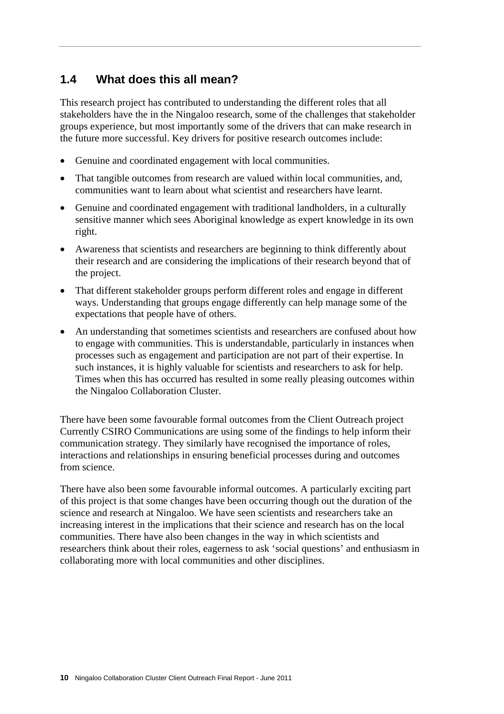# **1.4 What does this all mean?**

This research project has contributed to understanding the different roles that all stakeholders have the in the Ningaloo research, some of the challenges that stakeholder groups experience, but most importantly some of the drivers that can make research in the future more successful. Key drivers for positive research outcomes include:

- Genuine and coordinated engagement with local communities.
- That tangible outcomes from research are valued within local communities, and, communities want to learn about what scientist and researchers have learnt.
- Genuine and coordinated engagement with traditional landholders, in a culturally sensitive manner which sees Aboriginal knowledge as expert knowledge in its own right.
- Awareness that scientists and researchers are beginning to think differently about their research and are considering the implications of their research beyond that of the project.
- That different stakeholder groups perform different roles and engage in different ways. Understanding that groups engage differently can help manage some of the expectations that people have of others.
- An understanding that sometimes scientists and researchers are confused about how to engage with communities. This is understandable, particularly in instances when processes such as engagement and participation are not part of their expertise. In such instances, it is highly valuable for scientists and researchers to ask for help. Times when this has occurred has resulted in some really pleasing outcomes within the Ningaloo Collaboration Cluster.

There have been some favourable formal outcomes from the Client Outreach project Currently CSIRO Communications are using some of the findings to help inform their communication strategy. They similarly have recognised the importance of roles, interactions and relationships in ensuring beneficial processes during and outcomes from science.

There have also been some favourable informal outcomes. A particularly exciting part of this project is that some changes have been occurring though out the duration of the science and research at Ningaloo. We have seen scientists and researchers take an increasing interest in the implications that their science and research has on the local communities. There have also been changes in the way in which scientists and researchers think about their roles, eagerness to ask 'social questions' and enthusiasm in collaborating more with local communities and other disciplines.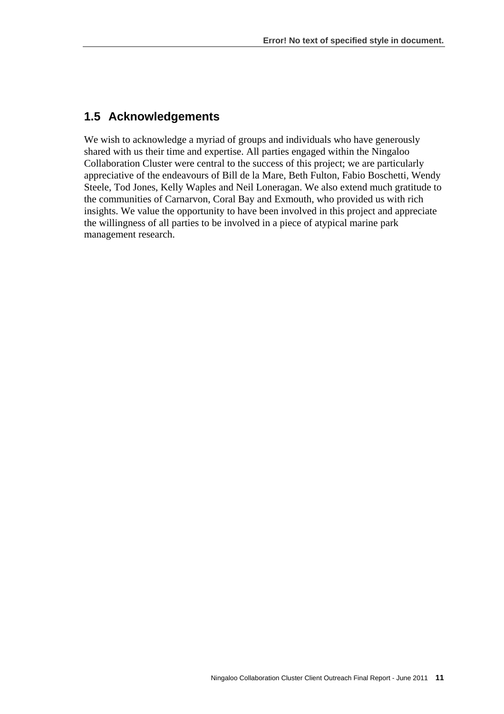### **1.5 Acknowledgements**

We wish to acknowledge a myriad of groups and individuals who have generously shared with us their time and expertise. All parties engaged within the Ningaloo Collaboration Cluster were central to the success of this project; we are particularly appreciative of the endeavours of Bill de la Mare, Beth Fulton, Fabio Boschetti, Wendy Steele, Tod Jones, Kelly Waples and Neil Loneragan. We also extend much gratitude to the communities of Carnarvon, Coral Bay and Exmouth, who provided us with rich insights. We value the opportunity to have been involved in this project and appreciate the willingness of all parties to be involved in a piece of atypical marine park management research.